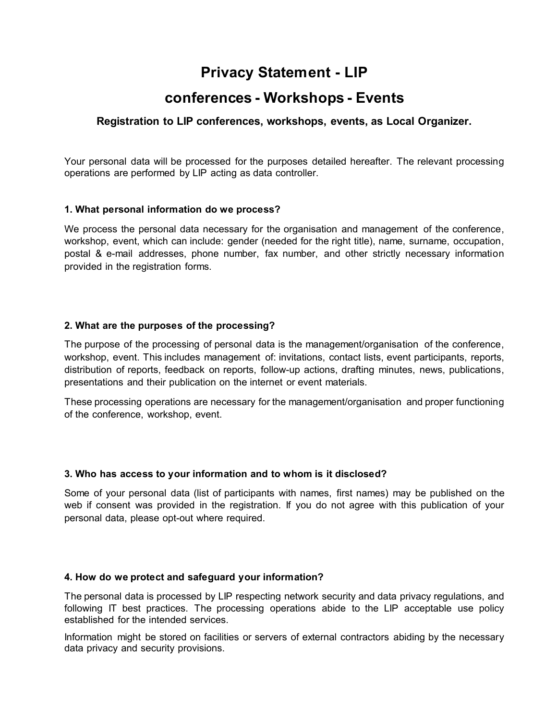# **Privacy Statement - LIP**

## **conferences - Workshops - Events**

## **Registration to LIP conferences, workshops, events, as Local Organizer.**

Your personal data will be processed for the purposes detailed hereafter. The relevant processing operations are performed by LIP acting as data controller.

#### **1. What personal information do we process?**

We process the personal data necessary for the organisation and management of the conference, workshop, event, which can include: gender (needed for the right title), name, surname, occupation, postal & e-mail addresses, phone number, fax number, and other strictly necessary information provided in the registration forms.

#### **2. What are the purposes of the processing?**

The purpose of the processing of personal data is the management/organisation of the conference, workshop, event. This includes management of: invitations, contact lists, event participants, reports, distribution of reports, feedback on reports, follow-up actions, drafting minutes, news, publications, presentations and their publication on the internet or event materials.

These processing operations are necessary for the management/organisation and proper functioning of the conference, workshop, event.

#### **3. Who has access to your information and to whom is it disclosed?**

Some of your personal data (list of participants with names, first names) may be published on the web if consent was provided in the registration. If you do not agree with this publication of your personal data, please opt-out where required.

#### **4. How do we protect and safeguard your information?**

The personal data is processed by LIP respecting network security and data privacy regulations, and following IT best practices. The processing operations abide to the LIP acceptable use policy established for the intended services.

Information might be stored on facilities or servers of external contractors abiding by the necessary data privacy and security provisions.